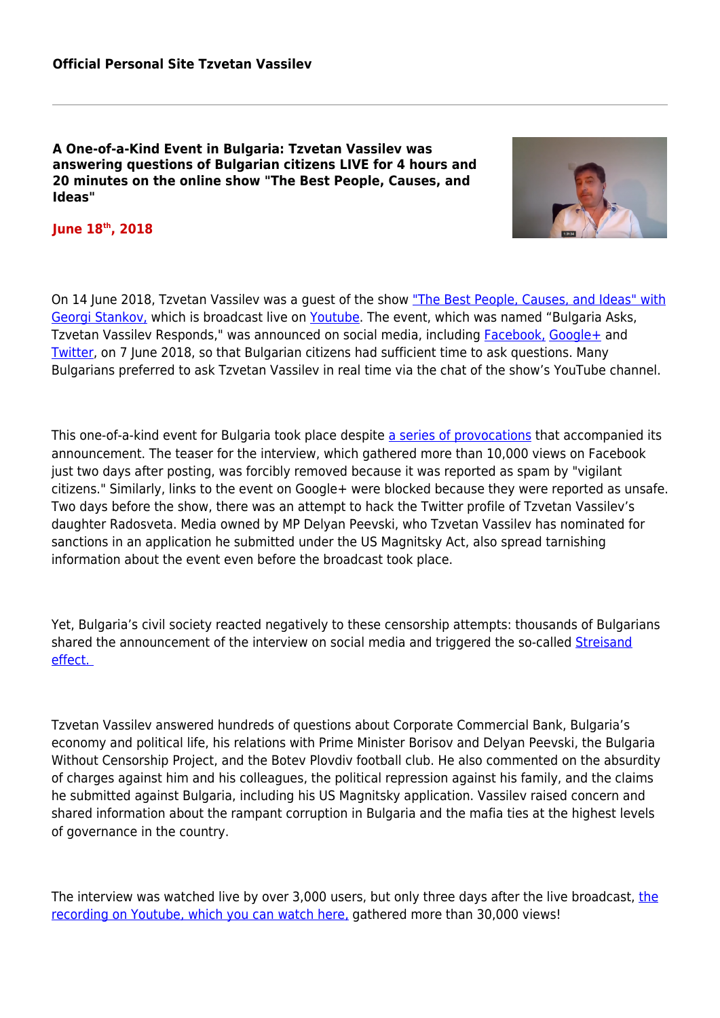**A One-of-a-Kind Event in Bulgaria: Tzvetan Vassilev was answering questions of Bulgarian citizens LIVE for 4 hours and 20 minutes on the online show "The Best People, Causes, and Ideas"** 



**June 18th, 2018**

On 14 June 2018, Tzvetan Vassilev was a quest of the show ["The Best People, Causes, and Ideas" with](http://naidobrite.net/) [Georgi Stankov,](http://naidobrite.net/) which is broadcast live on [Youtube](https://www.youtube.com/channel/UC6dIslIuhUZqWc8bYOKjh2Q). The event, which was named "Bulgaria Asks, Tzvetan Vassilev Responds," was announced on social media, including [Facebook,](https://www.facebook.com/events/1949563678421272/) [Google+](https://plus.google.com/events/cd9ec6gl9fsulp972b33k1g33eo) and [Twitter](https://twitter.com/dunyata), on 7 June 2018, so that Bulgarian citizens had sufficient time to ask questions. Many Bulgarians preferred to ask Tzvetan Vassilev in real time via the chat of the show's YouTube channel.

This one-of-a-kind event for Bulgaria took place despite [a series of provocations](https://frognews.bg/obshtestvo/naroden-glas/koi-plashi-interviuto-tsvetan-vasilev.html) that accompanied its announcement. The teaser for the interview, which gathered more than 10,000 views on Facebook just two days after posting, was forcibly removed because it was reported as spam by "vigilant citizens." Similarly, links to the event on Google+ were blocked because they were reported as unsafe. Two days before the show, there was an attempt to hack the Twitter profile of Tzvetan Vassilev's daughter Radosveta. Media owned by MP Delyan Peevski, who Tzvetan Vassilev has nominated for sanctions in an application he submitted under the US Magnitsky Act, also spread tarnishing information about the event even before the broadcast took place.

Yet, Bulgaria's civil society reacted negatively to these censorship attempts: thousands of Bulgarians shared the announcement of the interview on social media and triggered the so-called [Streisand](https://en.wikipedia.org/wiki/Streisand_effect) [effect.](https://en.wikipedia.org/wiki/Streisand_effect) 

Tzvetan Vassilev answered hundreds of questions about Corporate Commercial Bank, Bulgaria's economy and political life, his relations with Prime Minister Borisov and Delyan Peevski, the Bulgaria Without Censorship Project, and the Botev Plovdiv football club. He also commented on the absurdity of charges against him and his colleagues, the political repression against his family, and the claims he submitted against Bulgaria, including his US Magnitsky application. Vassilev raised concern and shared information about the rampant corruption in Bulgaria and the mafia ties at the highest levels of governance in the country.

The interview was watched live by over 3,000 users, but only three days after [the](https://www.youtube.com/watch?v=41gmyPIKt90) live broadcast, the [recording on Youtube, which you can watch here,](https://www.youtube.com/watch?v=41gmyPIKt90) gathered more than 30,000 views!